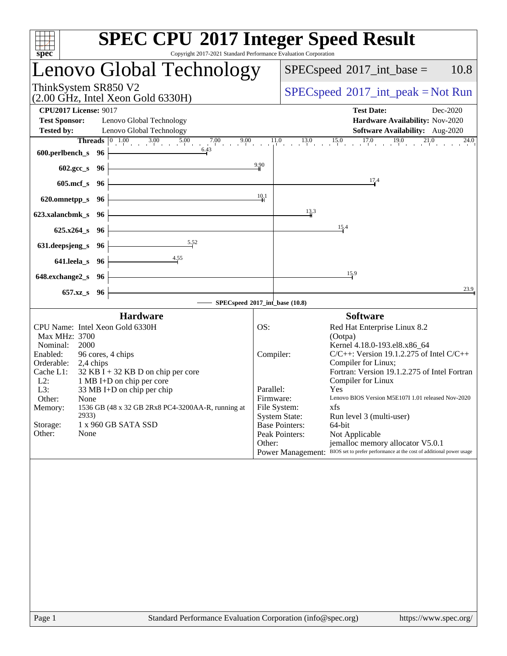| <b>SPEC CPU®2017 Integer Speed Result</b><br>Copyright 2017-2021 Standard Performance Evaluation Corporation<br>spec <sup>®</sup> |           |                                                                                                                                                                                                                                                                                                                      |
|-----------------------------------------------------------------------------------------------------------------------------------|-----------|----------------------------------------------------------------------------------------------------------------------------------------------------------------------------------------------------------------------------------------------------------------------------------------------------------------------|
| Lenovo Global Technology                                                                                                          |           | $SPEC speed^{\circ}2017\_int\_base =$<br>10.8                                                                                                                                                                                                                                                                        |
| ThinkSystem SR850 V2<br>$(2.00 \text{ GHz}, \text{Intel Xeon Gold } 6330\text{H})$                                                |           | $SPEC speed^{\circ}2017\_int\_peak = Not Run$                                                                                                                                                                                                                                                                        |
| <b>CPU2017 License: 9017</b><br><b>Test Sponsor:</b><br>Lenovo Global Technology<br><b>Tested by:</b><br>Lenovo Global Technology |           | <b>Test Date:</b><br>Dec-2020<br>Hardware Availability: Nov-2020<br>Software Availability: Aug-2020                                                                                                                                                                                                                  |
| 6.43<br>600.perlbench_s $96 \div$                                                                                                 |           | <b>Threads</b> $\begin{bmatrix} 0 & 1.00 & 3.00 & 5.00 & 7.00 & 9.00 & 11.0 & 13.0 & 15.0 & 17.0 & 19.0 & 24.00 \\ 0 & 0 & 0 & 0 & 0 & 0 & 1 & 0 & 0 \\ 0 & 0 & 0 & 0 & 0 & 0 & 0 & 0 \\ 0 & 0 & 0 & 0 & 0 & 0 & 0 & 0 \\ 0 & 0 & 0 & 0 & 0 & 0 & 0 & 0 \\ 0 & 0 & 0 & 0 & 0 & 0 & 0 & 0 \\ 0 & 0 & 0 & 0 &$<br>24.0 |
| $602.\text{sec}\text{-s}$ 96                                                                                                      | 9.90      | 17.4                                                                                                                                                                                                                                                                                                                 |
| 605.mcf_s $96$ –<br>620.omnetpp_s $96 \div$                                                                                       | 10,1      |                                                                                                                                                                                                                                                                                                                      |
| <u> 1989 - Johann Barn, fransk politik fotograf (</u><br>623.xalancbmk_s $96$                                                     |           | 13.3                                                                                                                                                                                                                                                                                                                 |
| $625.x264_s$ 96                                                                                                                   |           | 15.4                                                                                                                                                                                                                                                                                                                 |
| 5.52<br>631.deepsjeng_s 96 $\vdash$                                                                                               |           |                                                                                                                                                                                                                                                                                                                      |
| 4.55<br>641.leela_s 96 $\vdash$<br>$648$ .exchange $2_s$ 96                                                                       |           | 15.9                                                                                                                                                                                                                                                                                                                 |
| $657.xz$ <sub>8</sub> 96                                                                                                          |           | 23.9                                                                                                                                                                                                                                                                                                                 |
| SPECspeed®2017_int_base (10.8)                                                                                                    |           |                                                                                                                                                                                                                                                                                                                      |
| <b>Hardware</b>                                                                                                                   |           | <b>Software</b>                                                                                                                                                                                                                                                                                                      |
| CPU Name: Intel Xeon Gold 6330H                                                                                                   | OS:       | Red Hat Enterprise Linux 8.2                                                                                                                                                                                                                                                                                         |
| Max MHz: 3700<br>2000<br>Nominal:                                                                                                 |           | (Ootpa)<br>Kernel 4.18.0-193.el8.x86 64                                                                                                                                                                                                                                                                              |
| Enabled:<br>96 cores, 4 chips                                                                                                     | Compiler: | $C/C++$ : Version 19.1.2.275 of Intel $C/C++$                                                                                                                                                                                                                                                                        |
| Orderable:<br>2,4 chips                                                                                                           |           | Compiler for Linux;                                                                                                                                                                                                                                                                                                  |
| $32$ KB I + 32 KB D on chip per core<br>Cache L1:<br>$L2$ :<br>1 MB I+D on chip per core                                          |           | Fortran: Version 19.1.2.275 of Intel Fortran<br>Compiler for Linux                                                                                                                                                                                                                                                   |
| L3:<br>33 MB I+D on chip per chip                                                                                                 | Parallel: | Yes                                                                                                                                                                                                                                                                                                                  |
| Other:<br>None                                                                                                                    | Firmware: | Lenovo BIOS Version M5E107I 1.01 released Nov-2020                                                                                                                                                                                                                                                                   |
| 1536 GB (48 x 32 GB 2Rx8 PC4-3200AA-R, running at<br>Memory:<br>2933)                                                             |           | File System:<br>xfs<br><b>System State:</b><br>Run level 3 (multi-user)                                                                                                                                                                                                                                              |
| Storage:<br>1 x 960 GB SATA SSD                                                                                                   |           | <b>Base Pointers:</b><br>64-bit                                                                                                                                                                                                                                                                                      |
| Other:<br>None                                                                                                                    |           | Peak Pointers:<br>Not Applicable                                                                                                                                                                                                                                                                                     |
|                                                                                                                                   | Other:    | jemalloc memory allocator V5.0.1<br>Power Management: BIOS set to prefer performance at the cost of additional power usage                                                                                                                                                                                           |
|                                                                                                                                   |           |                                                                                                                                                                                                                                                                                                                      |
|                                                                                                                                   |           |                                                                                                                                                                                                                                                                                                                      |
|                                                                                                                                   |           |                                                                                                                                                                                                                                                                                                                      |
|                                                                                                                                   |           |                                                                                                                                                                                                                                                                                                                      |
|                                                                                                                                   |           |                                                                                                                                                                                                                                                                                                                      |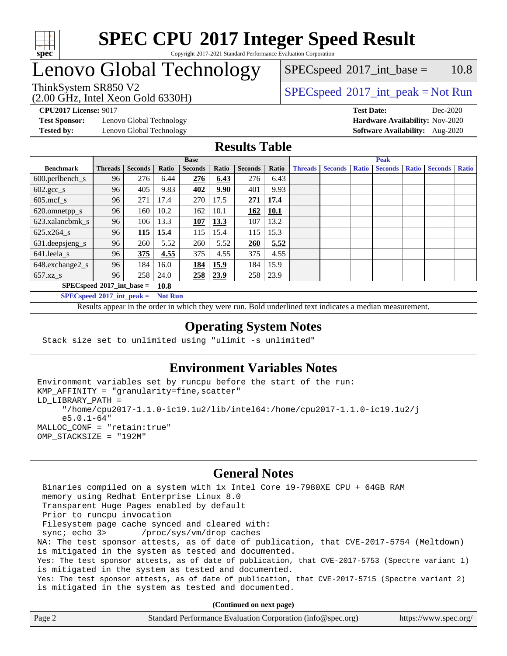

# Lenovo Global Technology

 $SPECspeed^{\circledcirc}2017\_int\_base = 10.8$  $SPECspeed^{\circledcirc}2017\_int\_base = 10.8$ 

(2.00 GHz, Intel Xeon Gold 6330H)

ThinkSystem SR850 V2  $SPEC speed^{\circ}2017\_int\_peak = Not Run$ 

**[Test Sponsor:](http://www.spec.org/auto/cpu2017/Docs/result-fields.html#TestSponsor)** Lenovo Global Technology **[Hardware Availability:](http://www.spec.org/auto/cpu2017/Docs/result-fields.html#HardwareAvailability)** Nov-2020 **[Tested by:](http://www.spec.org/auto/cpu2017/Docs/result-fields.html#Testedby)** Lenovo Global Technology **[Software Availability:](http://www.spec.org/auto/cpu2017/Docs/result-fields.html#SoftwareAvailability)** Aug-2020

**[CPU2017 License:](http://www.spec.org/auto/cpu2017/Docs/result-fields.html#CPU2017License)** 9017 **[Test Date:](http://www.spec.org/auto/cpu2017/Docs/result-fields.html#TestDate)** Dec-2020

### **[Results Table](http://www.spec.org/auto/cpu2017/Docs/result-fields.html#ResultsTable)**

|                                    | <b>Base</b>    |                |       |                |       | <b>Peak</b>    |             |                |                |              |                |              |                |              |
|------------------------------------|----------------|----------------|-------|----------------|-------|----------------|-------------|----------------|----------------|--------------|----------------|--------------|----------------|--------------|
| <b>Benchmark</b>                   | <b>Threads</b> | <b>Seconds</b> | Ratio | <b>Seconds</b> | Ratio | <b>Seconds</b> | Ratio       | <b>Threads</b> | <b>Seconds</b> | <b>Ratio</b> | <b>Seconds</b> | <b>Ratio</b> | <b>Seconds</b> | <b>Ratio</b> |
| $600.$ perlbench $\mathsf{S}$      | 96             | 276            | 6.44  | 276            | 6.43  | 276            | 6.43        |                |                |              |                |              |                |              |
| $602.\text{gcc}\_\text{s}$         | 96             | 405            | 9.83  | 402            | 9.90  | 401            | 9.93        |                |                |              |                |              |                |              |
| $605$ .mcf s                       | 96             | 271            | 17.4  | 270            | 17.5  | 271            | 17.4        |                |                |              |                |              |                |              |
| 620.omnetpp_s                      | 96             | 160            | 10.2  | 162            | 10.1  | 162            | <b>10.1</b> |                |                |              |                |              |                |              |
| 623.xalancbmk s                    | 96             | 106            | 13.3  | <b>107</b>     | 13.3  | 107            | 13.2        |                |                |              |                |              |                |              |
| 625.x264 s                         | 96             | 115            | 15.4  | 115            | 15.4  | 115            | 15.3        |                |                |              |                |              |                |              |
| 631.deepsjeng_s                    | 96             | 260            | 5.52  | 260            | 5.52  | 260            | 5.52        |                |                |              |                |              |                |              |
| 641.leela s                        | 96             | 375            | 4.55  | 375            | 4.55  | 375            | 4.55        |                |                |              |                |              |                |              |
| 648.exchange2_s                    | 96             | 184            | 16.0  | 184            | 15.9  | 184            | 15.9        |                |                |              |                |              |                |              |
| $657.xz$ <sub>S</sub>              | 96             | 258            | 24.0  | 258            | 23.9  | 258            | 23.9        |                |                |              |                |              |                |              |
| $SPECspeed^{\circ}2017$ int base = |                |                | 10.8  |                |       |                |             |                |                |              |                |              |                |              |

**[SPECspeed](http://www.spec.org/auto/cpu2017/Docs/result-fields.html#SPECspeed2017intpeak)[2017\\_int\\_peak =](http://www.spec.org/auto/cpu2017/Docs/result-fields.html#SPECspeed2017intpeak) Not Run**

Results appear in the [order in which they were run.](http://www.spec.org/auto/cpu2017/Docs/result-fields.html#RunOrder) Bold underlined text [indicates a median measurement.](http://www.spec.org/auto/cpu2017/Docs/result-fields.html#Median)

### **[Operating System Notes](http://www.spec.org/auto/cpu2017/Docs/result-fields.html#OperatingSystemNotes)**

Stack size set to unlimited using "ulimit -s unlimited"

### **[Environment Variables Notes](http://www.spec.org/auto/cpu2017/Docs/result-fields.html#EnvironmentVariablesNotes)**

```
Environment variables set by runcpu before the start of the run:
KMP_AFFINITY = "granularity=fine,scatter"
LD_LIBRARY_PATH =
      "/home/cpu2017-1.1.0-ic19.1u2/lib/intel64:/home/cpu2017-1.1.0-ic19.1u2/j
      e5.0.1-64"
MALLOC_CONF = "retain:true"
OMP_STACKSIZE = "192M"
```
### **[General Notes](http://www.spec.org/auto/cpu2017/Docs/result-fields.html#GeneralNotes)**

 Binaries compiled on a system with 1x Intel Core i9-7980XE CPU + 64GB RAM memory using Redhat Enterprise Linux 8.0 Transparent Huge Pages enabled by default Prior to runcpu invocation Filesystem page cache synced and cleared with: sync; echo 3> /proc/sys/vm/drop\_caches NA: The test sponsor attests, as of date of publication, that CVE-2017-5754 (Meltdown) is mitigated in the system as tested and documented. Yes: The test sponsor attests, as of date of publication, that CVE-2017-5753 (Spectre variant 1) is mitigated in the system as tested and documented. Yes: The test sponsor attests, as of date of publication, that CVE-2017-5715 (Spectre variant 2) is mitigated in the system as tested and documented.

**(Continued on next page)**

| Page 2 | Standard Performance Evaluation Corporation (info@spec.org) | https://www.spec.org/ |
|--------|-------------------------------------------------------------|-----------------------|
|--------|-------------------------------------------------------------|-----------------------|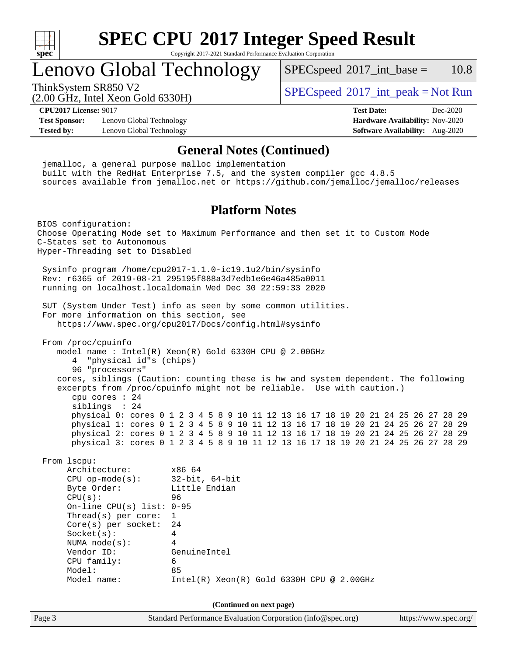

# Lenovo Global Technology

 $SPECspeed^{\circledcirc}2017\_int\_base = 10.8$  $SPECspeed^{\circledcirc}2017\_int\_base = 10.8$ 

(2.00 GHz, Intel Xeon Gold 6330H)

ThinkSystem SR850 V2  $SPEC speed^{\circ}2017\_int\_peak = Not Run$ 

**[CPU2017 License:](http://www.spec.org/auto/cpu2017/Docs/result-fields.html#CPU2017License)** 9017 **[Test Date:](http://www.spec.org/auto/cpu2017/Docs/result-fields.html#TestDate)** Dec-2020

**[Test Sponsor:](http://www.spec.org/auto/cpu2017/Docs/result-fields.html#TestSponsor)** Lenovo Global Technology **[Hardware Availability:](http://www.spec.org/auto/cpu2017/Docs/result-fields.html#HardwareAvailability)** Nov-2020 **[Tested by:](http://www.spec.org/auto/cpu2017/Docs/result-fields.html#Testedby)** Lenovo Global Technology **[Software Availability:](http://www.spec.org/auto/cpu2017/Docs/result-fields.html#SoftwareAvailability)** Aug-2020

### **[General Notes \(Continued\)](http://www.spec.org/auto/cpu2017/Docs/result-fields.html#GeneralNotes)**

Page 3 Standard Performance Evaluation Corporation [\(info@spec.org\)](mailto:info@spec.org) <https://www.spec.org/> jemalloc, a general purpose malloc implementation built with the RedHat Enterprise 7.5, and the system compiler gcc 4.8.5 sources available from jemalloc.net or <https://github.com/jemalloc/jemalloc/releases> **[Platform Notes](http://www.spec.org/auto/cpu2017/Docs/result-fields.html#PlatformNotes)** BIOS configuration: Choose Operating Mode set to Maximum Performance and then set it to Custom Mode C-States set to Autonomous Hyper-Threading set to Disabled Sysinfo program /home/cpu2017-1.1.0-ic19.1u2/bin/sysinfo Rev: r6365 of 2019-08-21 295195f888a3d7edb1e6e46a485a0011 running on localhost.localdomain Wed Dec 30 22:59:33 2020 SUT (System Under Test) info as seen by some common utilities. For more information on this section, see <https://www.spec.org/cpu2017/Docs/config.html#sysinfo> From /proc/cpuinfo model name : Intel(R) Xeon(R) Gold 6330H CPU @ 2.00GHz 4 "physical id"s (chips) 96 "processors" cores, siblings (Caution: counting these is hw and system dependent. The following excerpts from /proc/cpuinfo might not be reliable. Use with caution.) cpu cores : 24 siblings : 24 physical 0: cores 0 1 2 3 4 5 8 9 10 11 12 13 16 17 18 19 20 21 24 25 26 27 28 29 physical 1: cores 0 1 2 3 4 5 8 9 10 11 12 13 16 17 18 19 20 21 24 25 26 27 28 29 physical 2: cores 0 1 2 3 4 5 8 9 10 11 12 13 16 17 18 19 20 21 24 25 26 27 28 29 physical 3: cores 0 1 2 3 4 5 8 9 10 11 12 13 16 17 18 19 20 21 24 25 26 27 28 29 From lscpu: Architecture: x86\_64 CPU op-mode(s): 32-bit, 64-bit Byte Order: Little Endian CPU(s): 96 On-line CPU(s) list: 0-95 Thread(s) per core: 1 Core(s) per socket: 24 Socket(s): 4 NUMA node(s): 4 Vendor ID: GenuineIntel CPU family: 6 Model: 85 Model name: Intel(R) Xeon(R) Gold 6330H CPU @ 2.00GHz **(Continued on next page)**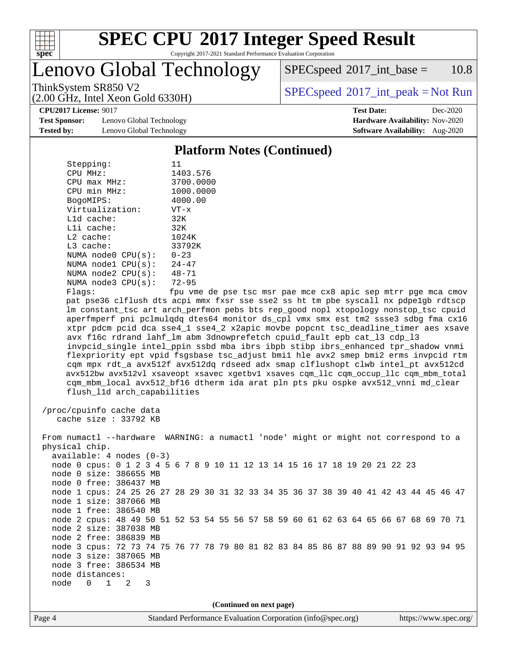

# **[SPEC CPU](http://www.spec.org/auto/cpu2017/Docs/result-fields.html#SPECCPU2017IntegerSpeedResult)[2017 Integer Speed Result](http://www.spec.org/auto/cpu2017/Docs/result-fields.html#SPECCPU2017IntegerSpeedResult)**

Copyright 2017-2021 Standard Performance Evaluation Corporation

Lenovo Global Technology

 $SPECspeed^{\circledcirc}2017\_int\_base = 10.8$  $SPECspeed^{\circledcirc}2017\_int\_base = 10.8$ 

(2.00 GHz, Intel Xeon Gold 6330H)

ThinkSystem SR850 V2<br>  $(2.00 \text{ GHz, Intel Yoon Gold } 6330 \text{V})$  [SPECspeed](http://www.spec.org/auto/cpu2017/Docs/result-fields.html#SPECspeed2017intpeak)<sup>®</sup>[2017\\_int\\_peak = N](http://www.spec.org/auto/cpu2017/Docs/result-fields.html#SPECspeed2017intpeak)ot Run

**[CPU2017 License:](http://www.spec.org/auto/cpu2017/Docs/result-fields.html#CPU2017License)** 9017 **[Test Date:](http://www.spec.org/auto/cpu2017/Docs/result-fields.html#TestDate)** Dec-2020

**[Test Sponsor:](http://www.spec.org/auto/cpu2017/Docs/result-fields.html#TestSponsor)** Lenovo Global Technology **[Hardware Availability:](http://www.spec.org/auto/cpu2017/Docs/result-fields.html#HardwareAvailability)** Nov-2020 **[Tested by:](http://www.spec.org/auto/cpu2017/Docs/result-fields.html#Testedby)** Lenovo Global Technology **[Software Availability:](http://www.spec.org/auto/cpu2017/Docs/result-fields.html#SoftwareAvailability)** Aug-2020

### **[Platform Notes \(Continued\)](http://www.spec.org/auto/cpu2017/Docs/result-fields.html#PlatformNotes)**

| Stepping:                   | 11                                                                                   |
|-----------------------------|--------------------------------------------------------------------------------------|
| CPU MHz:                    | 1403.576                                                                             |
| $CPU$ max $MHz$ :           | 3700.0000                                                                            |
| CPU min MHz:                | 1000.0000                                                                            |
| BogoMIPS:                   | 4000.00                                                                              |
| Virtualization:             | $VT - x$                                                                             |
| $L1d$ cache:                | 32K                                                                                  |
| Lli cache:                  | 32K                                                                                  |
| L2 cache:                   | 1024K                                                                                |
| L3 cache:                   | 33792K                                                                               |
| NUMA node0 CPU(s):          | $0 - 23$                                                                             |
| NUMA nodel CPU(s):          | $24 - 47$                                                                            |
| NUMA $node2$ $CPU(s):$      | 48-71                                                                                |
| NUMA node3 CPU(s):          | $72 - 95$                                                                            |
| Flags:                      | fpu vme de pse tsc msr pae mce cx8 apic sep mtrr pge mca cmov                        |
|                             | pat pse36 clflush dts acpi mmx fxsr sse sse2 ss ht tm pbe syscall nx pdpelgb rdtscp  |
|                             | lm constant_tsc art arch_perfmon pebs bts rep_good nopl xtopology nonstop_tsc cpuid  |
|                             | aperfmperf pni pclmulqdq dtes64 monitor ds_cpl vmx smx est tm2 ssse3 sdbg fma cx16   |
|                             | xtpr pdcm pcid dca sse4_1 sse4_2 x2apic movbe popcnt tsc_deadline_timer aes xsave    |
|                             | avx f16c rdrand lahf_lm abm 3dnowprefetch cpuid_fault epb cat_13 cdp_13              |
|                             | invpcid_single intel_ppin ssbd mba ibrs ibpb stibp ibrs_enhanced tpr_shadow vnmi     |
|                             | flexpriority ept vpid fsgsbase tsc_adjust bmil hle avx2 smep bmi2 erms invpcid rtm   |
|                             | cqm mpx rdt_a avx512f avx512dq rdseed adx smap clflushopt clwb intel_pt avx512cd     |
|                             | avx512bw avx512vl xsaveopt xsavec xgetbvl xsaves cqm_llc cqm_occup_llc cqm_mbm_total |
|                             | cqm_mbm_local avx512_bf16 dtherm ida arat pln pts pku ospke avx512_vnni md_clear     |
|                             |                                                                                      |
| flush_l1d arch_capabilities |                                                                                      |
| /proc/cpuinfo cache data    |                                                                                      |
| cache size : 33792 KB       |                                                                                      |
|                             |                                                                                      |
|                             | From numactl --hardware WARNING: a numactl 'node' might or might not correspond to a |
| physical chip.              |                                                                                      |
| $available: 4 nodes (0-3)$  |                                                                                      |
|                             |                                                                                      |
|                             | node 0 cpus: 0 1 2 3 4 5 6 7 8 9 10 11 12 13 14 15 16 17 18 19 20 21 22 23           |
| node 0 size: 386655 MB      |                                                                                      |
| node 0 free: 386437 MB      |                                                                                      |
|                             | node 1 cpus: 24 25 26 27 28 29 30 31 32 33 34 35 36 37 38 39 40 41 42 43 44 45 46 47 |
| node 1 size: 387066 MB      |                                                                                      |
| node 1 free: 386540 MB      |                                                                                      |
|                             | node 2 cpus: 48 49 50 51 52 53 54 55 56 57 58 59 60 61 62 63 64 65 66 67 68 69 70 71 |
| node 2 size: 387038 MB      |                                                                                      |
| node 2 free: 386839 MB      |                                                                                      |
|                             | node 3 cpus: 72 73 74 75 76 77 78 79 80 81 82 83 84 85 86 87 88 89 90 91 92 93 94 95 |

de 3 cpus: 72 73 74 75 node 3 size: 387065 MB node 3 free: 386534 MB

**(Continued on next page)**

 node distances: node 0 1 2 3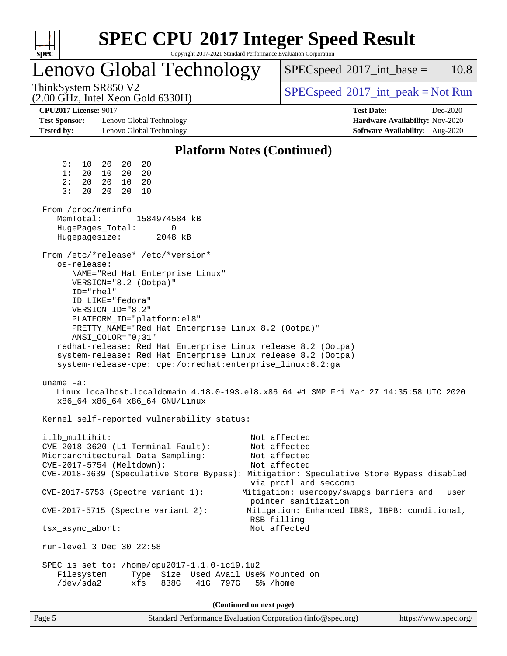| u | ۱ | t. |  |
|---|---|----|--|

# **[SPEC CPU](http://www.spec.org/auto/cpu2017/Docs/result-fields.html#SPECCPU2017IntegerSpeedResult)[2017 Integer Speed Result](http://www.spec.org/auto/cpu2017/Docs/result-fields.html#SPECCPU2017IntegerSpeedResult)**

Copyright 2017-2021 Standard Performance Evaluation Corporation

# Lenovo Global Technology

 $SPECspeed^{\circledcirc}2017\_int\_base = 10.8$  $SPECspeed^{\circledcirc}2017\_int\_base = 10.8$ 

(2.00 GHz, Intel Xeon Gold 6330H)

ThinkSystem SR850 V2  $\begin{array}{c} \text{SPEC speed} \textdegree 2017\_int\_peak = Not Run \end{array}$ 

**[Test Sponsor:](http://www.spec.org/auto/cpu2017/Docs/result-fields.html#TestSponsor)** Lenovo Global Technology **[Hardware Availability:](http://www.spec.org/auto/cpu2017/Docs/result-fields.html#HardwareAvailability)** Nov-2020 **[Tested by:](http://www.spec.org/auto/cpu2017/Docs/result-fields.html#Testedby)** Lenovo Global Technology **[Software Availability:](http://www.spec.org/auto/cpu2017/Docs/result-fields.html#SoftwareAvailability)** Aug-2020

**[CPU2017 License:](http://www.spec.org/auto/cpu2017/Docs/result-fields.html#CPU2017License)** 9017 **[Test Date:](http://www.spec.org/auto/cpu2017/Docs/result-fields.html#TestDate)** Dec-2020

### **[Platform Notes \(Continued\)](http://www.spec.org/auto/cpu2017/Docs/result-fields.html#PlatformNotes)** 0: 10 20 20 20 1: 20 10 20 20 2: 20 20 10 20 3: 20 20 20 10 From /proc/meminfo MemTotal: 1584974584 kB HugePages\_Total: 0 Hugepagesize: 2048 kB From /etc/\*release\* /etc/\*version\* os-release: NAME="Red Hat Enterprise Linux" VERSION="8.2 (Ootpa)" ID="rhel" ID\_LIKE="fedora" VERSION\_ID="8.2" PLATFORM\_ID="platform:el8" PRETTY\_NAME="Red Hat Enterprise Linux 8.2 (Ootpa)" ANSI\_COLOR="0;31" redhat-release: Red Hat Enterprise Linux release 8.2 (Ootpa) system-release: Red Hat Enterprise Linux release 8.2 (Ootpa) system-release-cpe: cpe:/o:redhat:enterprise\_linux:8.2:ga uname -a: Linux localhost.localdomain 4.18.0-193.el8.x86\_64 #1 SMP Fri Mar 27 14:35:58 UTC 2020 x86\_64 x86\_64 x86\_64 GNU/Linux Kernel self-reported vulnerability status: itlb\_multihit: Not affected CVE-2018-3620 (L1 Terminal Fault): Not affected Microarchitectural Data Sampling: Not affected CVE-2017-5754 (Meltdown): Not affected CVE-2018-3639 (Speculative Store Bypass): Mitigation: Speculative Store Bypass disabled via prctl and seccomp CVE-2017-5753 (Spectre variant 1): Mitigation: usercopy/swapgs barriers and \_\_user pointer sanitization CVE-2017-5715 (Spectre variant 2): Mitigation: Enhanced IBRS, IBPB: conditional, RSB filling tsx\_async\_abort: Not affected run-level 3 Dec 30 22:58 SPEC is set to: /home/cpu2017-1.1.0-ic19.1u2 Filesystem Type Size Used Avail Use% Mounted on /dev/sda2 xfs 838G 41G 797G 5% /home **(Continued on next page)**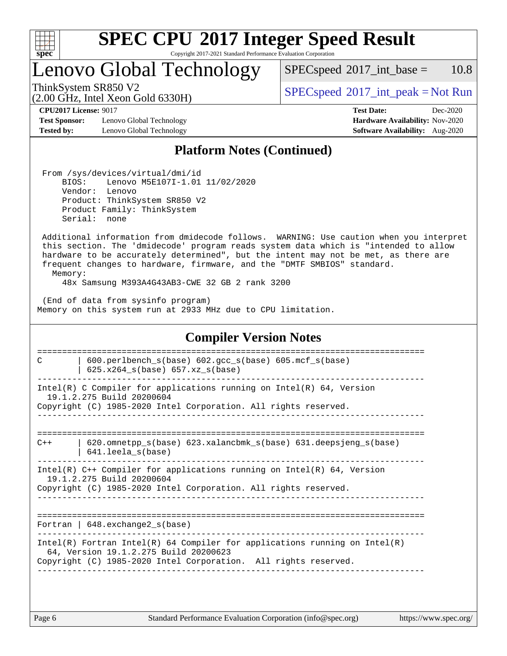

# **[SPEC CPU](http://www.spec.org/auto/cpu2017/Docs/result-fields.html#SPECCPU2017IntegerSpeedResult)[2017 Integer Speed Result](http://www.spec.org/auto/cpu2017/Docs/result-fields.html#SPECCPU2017IntegerSpeedResult)**

Copyright 2017-2021 Standard Performance Evaluation Corporation

# Lenovo Global Technology

 $SPECspeed^{\circledcirc}2017\_int\_base = 10.8$  $SPECspeed^{\circledcirc}2017\_int\_base = 10.8$ 

(2.00 GHz, Intel Xeon Gold 6330H)

ThinkSystem SR850 V2<br>  $\begin{array}{c} \text{SPEC speed} \text{?}2017\_int\_peak = Not Run \end{array}$ 

**[Test Sponsor:](http://www.spec.org/auto/cpu2017/Docs/result-fields.html#TestSponsor)** Lenovo Global Technology **[Hardware Availability:](http://www.spec.org/auto/cpu2017/Docs/result-fields.html#HardwareAvailability)** Nov-2020 **[Tested by:](http://www.spec.org/auto/cpu2017/Docs/result-fields.html#Testedby)** Lenovo Global Technology **[Software Availability:](http://www.spec.org/auto/cpu2017/Docs/result-fields.html#SoftwareAvailability)** Aug-2020

**[CPU2017 License:](http://www.spec.org/auto/cpu2017/Docs/result-fields.html#CPU2017License)** 9017 **[Test Date:](http://www.spec.org/auto/cpu2017/Docs/result-fields.html#TestDate)** Dec-2020

### **[Platform Notes \(Continued\)](http://www.spec.org/auto/cpu2017/Docs/result-fields.html#PlatformNotes)**

 From /sys/devices/virtual/dmi/id BIOS: Lenovo M5E107I-1.01 11/02/2020 Vendor: Lenovo Product: ThinkSystem SR850 V2 Product Family: ThinkSystem Serial: none

 Additional information from dmidecode follows. WARNING: Use caution when you interpret this section. The 'dmidecode' program reads system data which is "intended to allow hardware to be accurately determined", but the intent may not be met, as there are frequent changes to hardware, firmware, and the "DMTF SMBIOS" standard.

Memory:

48x Samsung M393A4G43AB3-CWE 32 GB 2 rank 3200

 (End of data from sysinfo program) Memory on this system run at 2933 MHz due to CPU limitation.

## **[Compiler Version Notes](http://www.spec.org/auto/cpu2017/Docs/result-fields.html#CompilerVersionNotes)**

============================================================================== C | 600.perlbench\_s(base) 602.gcc\_s(base) 605.mcf\_s(base) | 625.x264\_s(base) 657.xz\_s(base) ------------------------------------------------------------------------------ Intel(R) C Compiler for applications running on Intel(R)  $64$ , Version 19.1.2.275 Build 20200604 Copyright (C) 1985-2020 Intel Corporation. All rights reserved. ------------------------------------------------------------------------------ ==============================================================================  $C++$  | 620.omnetpp s(base) 623.xalancbmk s(base) 631.deepsjeng s(base) | 641.leela\_s(base) ------------------------------------------------------------------------------ Intel(R) C++ Compiler for applications running on Intel(R) 64, Version 19.1.2.275 Build 20200604 Copyright (C) 1985-2020 Intel Corporation. All rights reserved. ------------------------------------------------------------------------------ ============================================================================== Fortran | 648.exchange2\_s(base) ------------------------------------------------------------------------------ Intel(R) Fortran Intel(R) 64 Compiler for applications running on Intel(R) 64, Version 19.1.2.275 Build 20200623 Copyright (C) 1985-2020 Intel Corporation. All rights reserved. ------------------------------------------------------------------------------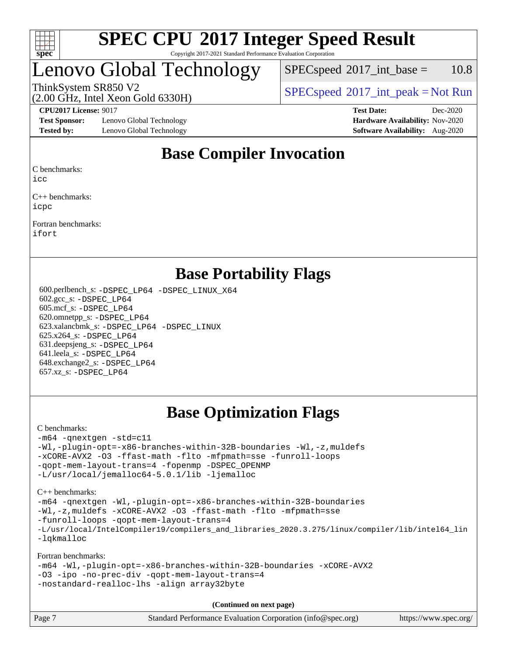

# Lenovo Global Technology

 $SPEC speed^{\circ}2017\_int\_base = 10.8$ 

(2.00 GHz, Intel Xeon Gold 6330H)

ThinkSystem SR850 V2  $\begin{array}{c} \text{SPEC speed} \textdegree 2017\_int\_peak = Not Run \end{array}$ 

**[Test Sponsor:](http://www.spec.org/auto/cpu2017/Docs/result-fields.html#TestSponsor)** Lenovo Global Technology **[Hardware Availability:](http://www.spec.org/auto/cpu2017/Docs/result-fields.html#HardwareAvailability)** Nov-2020 **[Tested by:](http://www.spec.org/auto/cpu2017/Docs/result-fields.html#Testedby)** Lenovo Global Technology **[Software Availability:](http://www.spec.org/auto/cpu2017/Docs/result-fields.html#SoftwareAvailability)** Aug-2020

**[CPU2017 License:](http://www.spec.org/auto/cpu2017/Docs/result-fields.html#CPU2017License)** 9017 **[Test Date:](http://www.spec.org/auto/cpu2017/Docs/result-fields.html#TestDate)** Dec-2020

## **[Base Compiler Invocation](http://www.spec.org/auto/cpu2017/Docs/result-fields.html#BaseCompilerInvocation)**

[C benchmarks:](http://www.spec.org/auto/cpu2017/Docs/result-fields.html#Cbenchmarks)

[icc](http://www.spec.org/cpu2017/results/res2021q1/cpu2017-20210104-24723.flags.html#user_CCbase_intel_icc_66fc1ee009f7361af1fbd72ca7dcefbb700085f36577c54f309893dd4ec40d12360134090235512931783d35fd58c0460139e722d5067c5574d8eaf2b3e37e92)

[C++ benchmarks:](http://www.spec.org/auto/cpu2017/Docs/result-fields.html#CXXbenchmarks) [icpc](http://www.spec.org/cpu2017/results/res2021q1/cpu2017-20210104-24723.flags.html#user_CXXbase_intel_icpc_c510b6838c7f56d33e37e94d029a35b4a7bccf4766a728ee175e80a419847e808290a9b78be685c44ab727ea267ec2f070ec5dc83b407c0218cded6866a35d07)

[Fortran benchmarks](http://www.spec.org/auto/cpu2017/Docs/result-fields.html#Fortranbenchmarks): [ifort](http://www.spec.org/cpu2017/results/res2021q1/cpu2017-20210104-24723.flags.html#user_FCbase_intel_ifort_8111460550e3ca792625aed983ce982f94888b8b503583aa7ba2b8303487b4d8a21a13e7191a45c5fd58ff318f48f9492884d4413fa793fd88dd292cad7027ca)

### **[Base Portability Flags](http://www.spec.org/auto/cpu2017/Docs/result-fields.html#BasePortabilityFlags)**

 600.perlbench\_s: [-DSPEC\\_LP64](http://www.spec.org/cpu2017/results/res2021q1/cpu2017-20210104-24723.flags.html#b600.perlbench_s_basePORTABILITY_DSPEC_LP64) [-DSPEC\\_LINUX\\_X64](http://www.spec.org/cpu2017/results/res2021q1/cpu2017-20210104-24723.flags.html#b600.perlbench_s_baseCPORTABILITY_DSPEC_LINUX_X64) 602.gcc\_s: [-DSPEC\\_LP64](http://www.spec.org/cpu2017/results/res2021q1/cpu2017-20210104-24723.flags.html#suite_basePORTABILITY602_gcc_s_DSPEC_LP64) 605.mcf\_s: [-DSPEC\\_LP64](http://www.spec.org/cpu2017/results/res2021q1/cpu2017-20210104-24723.flags.html#suite_basePORTABILITY605_mcf_s_DSPEC_LP64) 620.omnetpp\_s: [-DSPEC\\_LP64](http://www.spec.org/cpu2017/results/res2021q1/cpu2017-20210104-24723.flags.html#suite_basePORTABILITY620_omnetpp_s_DSPEC_LP64) 623.xalancbmk\_s: [-DSPEC\\_LP64](http://www.spec.org/cpu2017/results/res2021q1/cpu2017-20210104-24723.flags.html#suite_basePORTABILITY623_xalancbmk_s_DSPEC_LP64) [-DSPEC\\_LINUX](http://www.spec.org/cpu2017/results/res2021q1/cpu2017-20210104-24723.flags.html#b623.xalancbmk_s_baseCXXPORTABILITY_DSPEC_LINUX) 625.x264\_s: [-DSPEC\\_LP64](http://www.spec.org/cpu2017/results/res2021q1/cpu2017-20210104-24723.flags.html#suite_basePORTABILITY625_x264_s_DSPEC_LP64) 631.deepsjeng\_s: [-DSPEC\\_LP64](http://www.spec.org/cpu2017/results/res2021q1/cpu2017-20210104-24723.flags.html#suite_basePORTABILITY631_deepsjeng_s_DSPEC_LP64) 641.leela\_s: [-DSPEC\\_LP64](http://www.spec.org/cpu2017/results/res2021q1/cpu2017-20210104-24723.flags.html#suite_basePORTABILITY641_leela_s_DSPEC_LP64) 648.exchange2\_s: [-DSPEC\\_LP64](http://www.spec.org/cpu2017/results/res2021q1/cpu2017-20210104-24723.flags.html#suite_basePORTABILITY648_exchange2_s_DSPEC_LP64) 657.xz\_s: [-DSPEC\\_LP64](http://www.spec.org/cpu2017/results/res2021q1/cpu2017-20210104-24723.flags.html#suite_basePORTABILITY657_xz_s_DSPEC_LP64)

# **[Base Optimization Flags](http://www.spec.org/auto/cpu2017/Docs/result-fields.html#BaseOptimizationFlags)**

### [C benchmarks](http://www.spec.org/auto/cpu2017/Docs/result-fields.html#Cbenchmarks):

```
-m64 -qnextgen -std=c11
-Wl,-plugin-opt=-x86-branches-within-32B-boundaries -Wl,-z,muldefs
-xCORE-AVX2 -O3 -ffast-math -flto -mfpmath=sse -funroll-loops
-qopt-mem-layout-trans=4 -fopenmp -DSPEC_OPENMP
-L/usr/local/jemalloc64-5.0.1/lib -ljemalloc
C++ benchmarks:
```
[-m64](http://www.spec.org/cpu2017/results/res2021q1/cpu2017-20210104-24723.flags.html#user_CXXbase_m64-icc) [-qnextgen](http://www.spec.org/cpu2017/results/res2021q1/cpu2017-20210104-24723.flags.html#user_CXXbase_f-qnextgen) [-Wl,-plugin-opt=-x86-branches-within-32B-boundaries](http://www.spec.org/cpu2017/results/res2021q1/cpu2017-20210104-24723.flags.html#user_CXXbase_f-x86-branches-within-32B-boundaries_0098b4e4317ae60947b7b728078a624952a08ac37a3c797dfb4ffeb399e0c61a9dd0f2f44ce917e9361fb9076ccb15e7824594512dd315205382d84209e912f3) [-Wl,-z,muldefs](http://www.spec.org/cpu2017/results/res2021q1/cpu2017-20210104-24723.flags.html#user_CXXbase_link_force_multiple1_b4cbdb97b34bdee9ceefcfe54f4c8ea74255f0b02a4b23e853cdb0e18eb4525ac79b5a88067c842dd0ee6996c24547a27a4b99331201badda8798ef8a743f577) [-xCORE-AVX2](http://www.spec.org/cpu2017/results/res2021q1/cpu2017-20210104-24723.flags.html#user_CXXbase_f-xCORE-AVX2) [-O3](http://www.spec.org/cpu2017/results/res2021q1/cpu2017-20210104-24723.flags.html#user_CXXbase_f-O3) [-ffast-math](http://www.spec.org/cpu2017/results/res2021q1/cpu2017-20210104-24723.flags.html#user_CXXbase_f-ffast-math) [-flto](http://www.spec.org/cpu2017/results/res2021q1/cpu2017-20210104-24723.flags.html#user_CXXbase_f-flto) [-mfpmath=sse](http://www.spec.org/cpu2017/results/res2021q1/cpu2017-20210104-24723.flags.html#user_CXXbase_f-mfpmath_70eb8fac26bde974f8ab713bc9086c5621c0b8d2f6c86f38af0bd7062540daf19db5f3a066d8c6684be05d84c9b6322eb3b5be6619d967835195b93d6c02afa1) [-funroll-loops](http://www.spec.org/cpu2017/results/res2021q1/cpu2017-20210104-24723.flags.html#user_CXXbase_f-funroll-loops) [-qopt-mem-layout-trans=4](http://www.spec.org/cpu2017/results/res2021q1/cpu2017-20210104-24723.flags.html#user_CXXbase_f-qopt-mem-layout-trans_fa39e755916c150a61361b7846f310bcdf6f04e385ef281cadf3647acec3f0ae266d1a1d22d972a7087a248fd4e6ca390a3634700869573d231a252c784941a8) [-L/usr/local/IntelCompiler19/compilers\\_and\\_libraries\\_2020.3.275/linux/compiler/lib/intel64\\_lin](http://www.spec.org/cpu2017/results/res2021q1/cpu2017-20210104-24723.flags.html#user_CXXbase_linkpath_6eb3b1b8be403820338b5b82e7a1c217a861a8962ac718a6253be1483b50620487664a39a847caf560d84a6b8bab7cca33d9f414525a12ede1e9473db34a3d08) [-lqkmalloc](http://www.spec.org/cpu2017/results/res2021q1/cpu2017-20210104-24723.flags.html#user_CXXbase_qkmalloc_link_lib_79a818439969f771c6bc311cfd333c00fc099dad35c030f5aab9dda831713d2015205805422f83de8875488a2991c0a156aaa600e1f9138f8fc37004abc96dc5)

[Fortran benchmarks:](http://www.spec.org/auto/cpu2017/Docs/result-fields.html#Fortranbenchmarks)

```
-m64 -Wl,-plugin-opt=-x86-branches-within-32B-boundaries -xCORE-AVX2
-O3 -ipo -no-prec-div -qopt-mem-layout-trans=4
-nostandard-realloc-lhs -align array32byte
```
**(Continued on next page)**

| Page 7<br>Standard Performance Evaluation Corporation (info@spec.org)<br>https://www.spec.org/ |
|------------------------------------------------------------------------------------------------|
|------------------------------------------------------------------------------------------------|